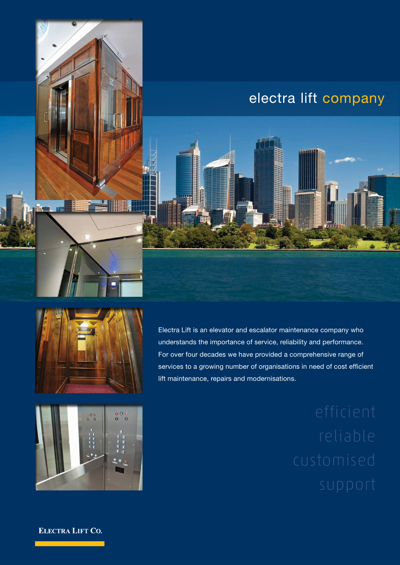# electra lift company



**EIN** 

Electra Lift is an elevator and escalator maintenance company who understands the importance of service, reliability and performance. For over four decades we have provided a comprehensive range of services to a growing number of organisations in need of cost efficient lift maintenance, repairs and modernisations.



**ELECTRA LIFT CO.**